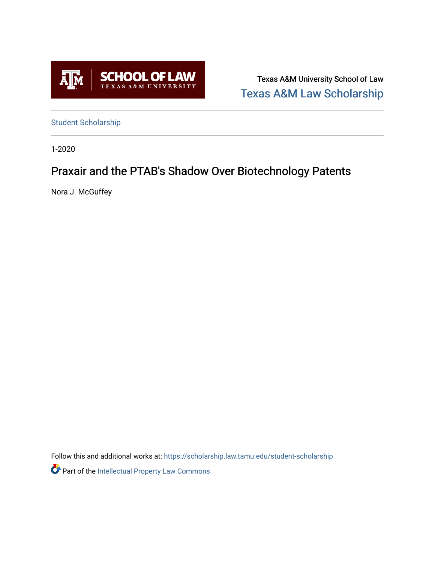

Texas A&M University School of Law [Texas A&M Law Scholarship](https://scholarship.law.tamu.edu/) 

[Student Scholarship](https://scholarship.law.tamu.edu/student-scholarship)

1-2020

# Praxair and the PTAB's Shadow Over Biotechnology Patents

Nora J. McGuffey

Follow this and additional works at: [https://scholarship.law.tamu.edu/student-scholarship](https://scholarship.law.tamu.edu/student-scholarship?utm_source=scholarship.law.tamu.edu%2Fstudent-scholarship%2F1&utm_medium=PDF&utm_campaign=PDFCoverPages) 

**Part of the Intellectual Property Law Commons**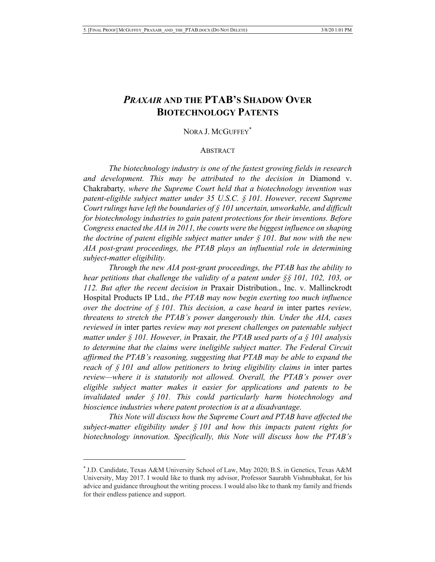## *PRAXAIR* **AND THE PTAB'S SHADOW OVER BIOTECHNOLOGY PATENTS**

### NORA J. MCGUFFEY<sup>\*</sup>

#### **ABSTRACT**

*The biotechnology industry is one of the fastest growing fields in research and development. This may be attributed to the decision in* Diamond v. Chakrabarty*, where the Supreme Court held that a biotechnology invention was patent-eligible subject matter under 35 U.S.C. § 101. However, recent Supreme Court rulings have left the boundaries of § 101 uncertain, unworkable, and difficult for biotechnology industries to gain patent protections for their inventions. Before Congress enacted the AIA in 2011, the courts were the biggest influence on shaping the doctrine of patent eligible subject matter under § 101. But now with the new AIA post-grant proceedings, the PTAB plays an influential role in determining subject-matter eligibility.*

*Through the new AIA post-grant proceedings, the PTAB has the ability to hear petitions that challenge the validity of a patent under §§ 101, 102, 103, or 112. But after the recent decision in* Praxair Distribution., Inc. v. Mallinckrodt Hospital Products IP Ltd.*, the PTAB may now begin exerting too much influence over the doctrine of § 101. This decision, a case heard in* inter partes *review, threatens to stretch the PTAB's power dangerously thin. Under the AIA, cases reviewed in* inter partes *review may not present challenges on patentable subject matter under § 101. However, in* Praxair*, the PTAB used parts of a § 101 analysis to determine that the claims were ineligible subject matter. The Federal Circuit affirmed the PTAB's reasoning, suggesting that PTAB may be able to expand the reach of § 101 and allow petitioners to bring eligibility claims in* inter partes *review—where it is statutorily not allowed. Overall, the PTAB's power over eligible subject matter makes it easier for applications and patents to be invalidated under § 101. This could particularly harm biotechnology and bioscience industries where patent protection is at a disadvantage.*

*This Note will discuss how the Supreme Court and PTAB have affected the subject-matter eligibility under § 101 and how this impacts patent rights for biotechnology innovation. Specifically, this Note will discuss how the PTAB's* 

<sup>\*</sup> J.D. Candidate, Texas A&M University School of Law, May 2020; B.S. in Genetics, Texas A&M University, May 2017. I would like to thank my advisor, Professor Saurabh Vishnubhakat, for his advice and guidance throughout the writing process. I would also like to thank my family and friends for their endless patience and support.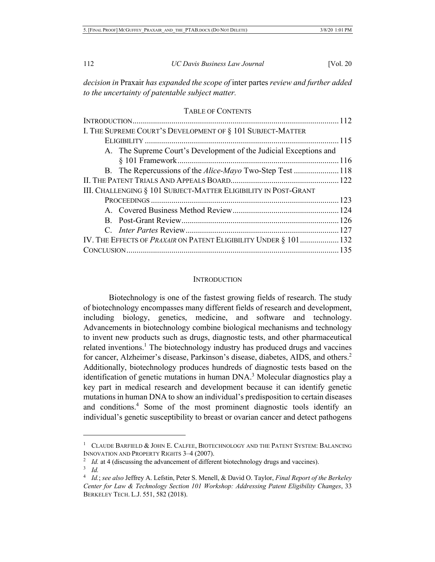*decision in* Praxair *has expanded the scope of* inter partes *review and further added to the uncertainty of patentable subject matter.*

## TABLE OF CONTENTS

| IV. THE EFFECTS OF PRAXAIR ON PATENT ELIGIBILITY UNDER § 101 132 |
|------------------------------------------------------------------|
|                                                                  |
|                                                                  |

#### **INTRODUCTION**

Biotechnology is one of the fastest growing fields of research. The study of biotechnology encompasses many different fields of research and development, including biology, genetics, medicine, and software and technology. Advancements in biotechnology combine biological mechanisms and technology to invent new products such as drugs, diagnostic tests, and other pharmaceutical related inventions.<sup>1</sup> The biotechnology industry has produced drugs and vaccines for cancer, Alzheimer's disease, Parkinson's disease, diabetes, AIDS, and others.<sup>2</sup> Additionally, biotechnology produces hundreds of diagnostic tests based on the identification of genetic mutations in human  $DNA^3$ . Molecular diagnostics play a key part in medical research and development because it can identify genetic mutations in human DNA to show an individual's predisposition to certain diseases and conditions.4 Some of the most prominent diagnostic tools identify an individual's genetic susceptibility to breast or ovarian cancer and detect pathogens

<sup>&</sup>lt;sup>1</sup> CLAUDE BARFIELD & JOHN E. CALFEE, BIOTECHNOLOGY AND THE PATENT SYSTEM: BALANCING INNOVATION AND PROPERTY RIGHTS 3–4 (2007).

<sup>&</sup>lt;sup>2</sup> *Id.* at 4 (discussing the advancement of different biotechnology drugs and vaccines).

<sup>3</sup> *Id.*

<sup>4</sup> *Id.*; *see also* Jeffrey A. Lefstin, Peter S. Menell, & David O. Taylor, *Final Report of the Berkeley Center for Law & Technology Section 101 Workshop: Addressing Patent Eligibility Changes*, 33 BERKELEY TECH. L.J. 551, 582 (2018).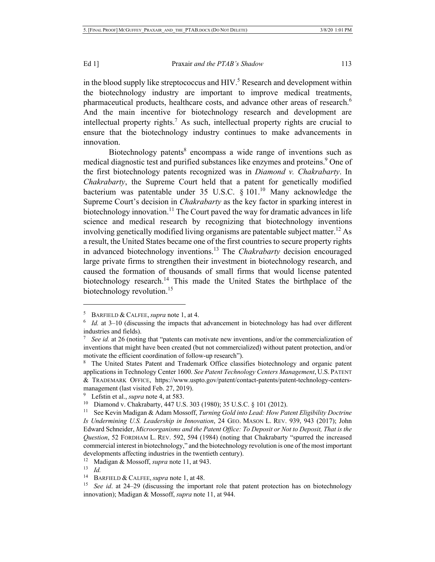in the blood supply like streptococcus and  $HIV<sup>5</sup>$  Research and development within the biotechnology industry are important to improve medical treatments, pharmaceutical products, healthcare costs, and advance other areas of research.<sup>6</sup> And the main incentive for biotechnology research and development are intellectual property rights.7 As such, intellectual property rights are crucial to ensure that the biotechnology industry continues to make advancements in innovation.

Biotechnology patents<sup>8</sup> encompass a wide range of inventions such as medical diagnostic test and purified substances like enzymes and proteins.<sup>9</sup> One of the first biotechnology patents recognized was in *Diamond v. Chakrabarty*. In *Chakrabarty*, the Supreme Court held that a patent for genetically modified bacterium was patentable under 35 U.S.C.  $\delta$  101.<sup>10</sup> Many acknowledge the Supreme Court's decision in *Chakrabarty* as the key factor in sparking interest in biotechnology innovation.<sup>11</sup> The Court paved the way for dramatic advances in life science and medical research by recognizing that biotechnology inventions involving genetically modified living organisms are patentable subject matter.<sup>12</sup> As a result, the United States became one of the first countries to secure property rights in advanced biotechnology inventions.<sup>13</sup> The *Chakrabarty* decision encouraged large private firms to strengthen their investment in biotechnology research, and caused the formation of thousands of small firms that would license patented biotechnology research.<sup>14</sup> This made the United States the birthplace of the biotechnology revolution.<sup>15</sup>

<sup>5</sup> BARFIELD & CALFEE,*supra* note 1, at 4.

<sup>6</sup> *Id.* at 3–10 (discussing the impacts that advancement in biotechnology has had over different industries and fields).

See id. at 26 (noting that "patents can motivate new inventions, and/or the commercialization of inventions that might have been created (but not commercialized) without patent protection, and/or motivate the efficient coordination of follow-up research").

<sup>8</sup> The United States Patent and Trademark Office classifies biotechnology and organic patent applications in Technology Center 1600. *See Patent Technology Centers Management*, U.S. PATENT & TRADEMARK OFFICE, https://www.uspto.gov/patent/contact-patents/patent-technology-centersmanagement (last visited Feb. 27, 2019).

Lefstin et al., *supra* note 4, at 583.

<sup>10</sup> Diamond v. Chakrabarty, 447 U.S. 303 (1980); 35 U.S.C. § 101 (2012).

<sup>11</sup> See Kevin Madigan & Adam Mossoff, *Turning Gold into Lead: How Patent Eligibility Doctrine Is Undermining U.S. Leadership in Innovation*, 24 GEO. MASON L. REV. 939, 943 (2017); John Edward Schneider, *Microorganisms and the Patent Office: To Deposit or Not to Deposit, That is the Question*, 52 FORDHAM L. REV. 592, 594 (1984) (noting that Chakrabarty "spurred the increased commercial interest in biotechnology," and the biotechnology revolution is one of the most important developments affecting industries in the twentieth century).

<sup>&</sup>lt;sup>12</sup> Madigan & Mossoff, *supra* note 11, at 943.

<sup>13</sup> *Id.*

<sup>14</sup> BARFIELD & CALFEE,*supra* note 1, at 48.

<sup>15</sup> *See id*. at 24–29 (discussing the important role that patent protection has on biotechnology innovation); Madigan & Mossoff, *supra* note 11, at 944.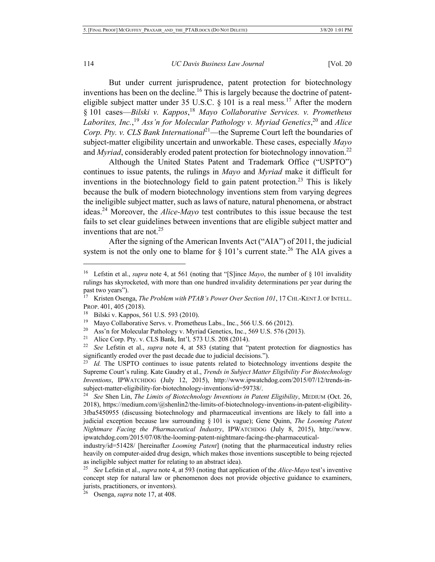But under current jurisprudence, patent protection for biotechnology inventions has been on the decline.<sup>16</sup> This is largely because the doctrine of patenteligible subject matter under 35 U.S.C.  $\&$  101 is a real mess.<sup>17</sup> After the modern § 101 cases—*Bilski v. Kappos*, <sup>18</sup> *Mayo Collaborative Services. v. Prometheus Laborites, Inc.*, <sup>19</sup> *Ass'n for Molecular Pathology v. Myriad Genetics*, <sup>20</sup> and *Alice Corp. Pty. v. CLS Bank International*<sup>21</sup>—the Supreme Court left the boundaries of subject-matter eligibility uncertain and unworkable. These cases, especially *Mayo* and *Myriad*, considerably eroded patent protection for biotechnology innovation.<sup>22</sup>

Although the United States Patent and Trademark Office ("USPTO") continues to issue patents, the rulings in *Mayo* and *Myriad* make it difficult for inventions in the biotechnology field to gain patent protection.<sup>23</sup> This is likely because the bulk of modern biotechnology inventions stem from varying degrees the ineligible subject matter, such as laws of nature, natural phenomena, or abstract ideas.24 Moreover, the *Alice-Mayo* test contributes to this issue because the test fails to set clear guidelines between inventions that are eligible subject matter and inventions that are not.<sup>25</sup>

After the signing of the American Invents Act ("AIA") of 2011, the judicial system is not the only one to blame for  $\S$  101's current state.<sup>26</sup> The AIA gives a

<sup>16</sup> Lefstin et al., *supra* note 4, at 561 (noting that "[S]ince *Mayo*, the number of § 101 invalidity rulings has skyrocketed, with more than one hundred invalidity determinations per year during the past two years").

<sup>17</sup> Kristen Osenga, *The Problem with PTAB's Power Over Section 101*, 17 CHI.-KENT J. OF INTELL. PROP. 401, 405 (2018).

<sup>18</sup> Bilski v. Kappos, 561 U.S. 593 (2010).

<sup>&</sup>lt;sup>19</sup> Mayo Collaborative Servs. v. Prometheus Labs., Inc., 566 U.S. 66 (2012).

<sup>&</sup>lt;sup>20</sup> Ass'n for Molecular Pathology v. Myriad Genetics, Inc., 569 U.S. 576 (2013).

<sup>&</sup>lt;sup>21</sup> Alice Corp. Pty. v. CLS Bank, Int'l, 573 U.S. 208 (2014).<br><sup>22</sup> See I efstin et al. sunga pote 4, at 583 (stating that "r

<sup>22</sup> *See* Lefstin et al., *supra* note 4, at 583 (stating that "patent protection for diagnostics has significantly eroded over the past decade due to judicial decisions.").

<sup>&</sup>lt;sup>23</sup> *Id.* The USPTO continues to issue patents related to biotechnology inventions despite the Supreme Court's ruling. Kate Gaudry et al., *Trends in Subject Matter Eligibility For Biotechnology Inventions*, IPWATCHDOG (July 12, 2015), http://www.ipwatchdog.com/2015/07/12/trends-insubject-matter-eligibility-for-biotechnology-inventions/id=59738/.

<sup>24</sup> *See* Shen Lin, *The Limits of Biotechnology Inventions in Patent Eligibility*, MEDIUM (Oct. 26, 2018), https://medium.com/@shenlin2/the-limits-of-biotechnology-inventions-in-patent-eligibility-3fba5450955 (discussing biotechnology and pharmaceutical inventions are likely to fall into a judicial exception because law surrounding § 101 is vague); Gene Quinn, *The Looming Patent Nightmare Facing the Pharmaceutical Industry*, IPWATCHDOG (July 8, 2015), http://www. ipwatchdog.com/2015/07/08/the-looming-patent-nightmare-facing-the-pharmaceutical-

industry/id=51428/ [hereinafter *Looming Patent*] (noting that the pharmaceutical industry relies heavily on computer-aided drug design, which makes those inventions susceptible to being rejected as ineligible subject matter for relating to an abstract idea).

<sup>25</sup> *See* Lefstin et al., *supra* note 4, at 593 (noting that application of the *Alice-Mayo* test's inventive concept step for natural law or phenomenon does not provide objective guidance to examiners, jurists, practitioners, or inventors).

<sup>26</sup> Osenga, *supra* note 17, at 408.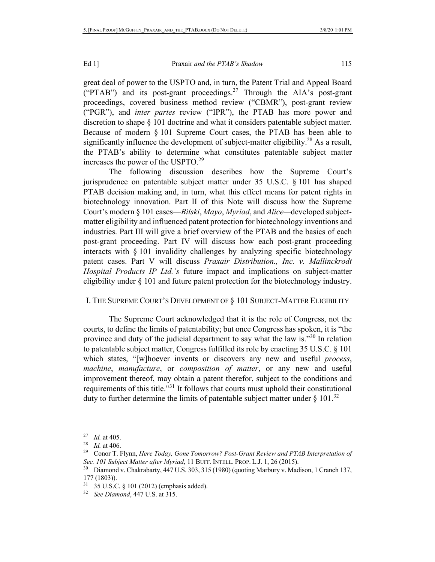great deal of power to the USPTO and, in turn, the Patent Trial and Appeal Board ("PTAB") and its post-grant proceedings.<sup>27</sup> Through the AIA's post-grant proceedings, covered business method review ("CBMR"), post-grant review ("PGR"), and *inter partes* review ("IPR"), the PTAB has more power and discretion to shape § 101 doctrine and what it considers patentable subject matter. Because of modern § 101 Supreme Court cases, the PTAB has been able to significantly influence the development of subject-matter eligibility.<sup>28</sup> As a result, the PTAB's ability to determine what constitutes patentable subject matter increases the power of the USPTO.<sup>29</sup>

The following discussion describes how the Supreme Court's jurisprudence on patentable subject matter under 35 U.S.C. § 101 has shaped PTAB decision making and, in turn, what this effect means for patent rights in biotechnology innovation. Part II of this Note will discuss how the Supreme Court's modern § 101 cases—*Bilski*, *Mayo*, *Myriad*, and *Alice—*developed subjectmatter eligibility and influenced patent protection for biotechnology inventions and industries. Part III will give a brief overview of the PTAB and the basics of each post-grant proceeding. Part IV will discuss how each post-grant proceeding interacts with § 101 invalidity challenges by analyzing specific biotechnology patent cases. Part V will discuss *Praxair Distribution., Inc. v. Mallinckrodt Hospital Products IP Ltd.'s* future impact and implications on subject-matter eligibility under § 101 and future patent protection for the biotechnology industry.

## I. THE SUPREME COURT'S DEVELOPMENT OF § 101 SUBJECT-MATTER ELIGIBILITY

The Supreme Court acknowledged that it is the role of Congress, not the courts, to define the limits of patentability; but once Congress has spoken, it is "the province and duty of the judicial department to say what the law is."<sup>30</sup> In relation to patentable subject matter, Congress fulfilled its role by enacting 35 U.S.C. § 101 which states, "[w]hoever invents or discovers any new and useful *process*, *machine*, *manufacture*, or *composition of matter*, or any new and useful improvement thereof, may obtain a patent therefor, subject to the conditions and requirements of this title."31 It follows that courts must uphold their constitutional duty to further determine the limits of patentable subject matter under  $\S 101$ .<sup>32</sup>

<sup>27</sup> *Id.* at 405.

<sup>28</sup> *Id.* at 406.

<sup>29</sup> Conor T. Flynn, *Here Today, Gone Tomorrow? Post-Grant Review and PTAB Interpretation of Sec. 101 Subject Matter after Myriad*, 11 BUFF. INTELL. PROP. L.J. 1, 26 (2015).

<sup>30</sup> Diamond v. Chakrabarty, 447 U.S. 303, 315 (1980) (quoting Marbury v. Madison, 1 Cranch 137, 177 (1803)).

<sup>35</sup> U.S.C. § 101 (2012) (emphasis added).

<sup>32</sup> *See Diamond*, 447 U.S. at 315.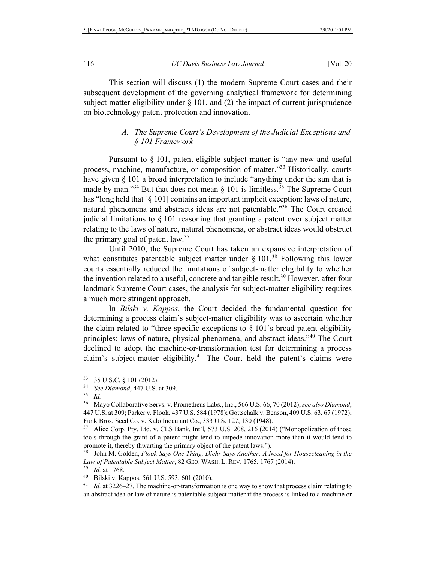This section will discuss (1) the modern Supreme Court cases and their subsequent development of the governing analytical framework for determining subject-matter eligibility under  $\S$  101, and (2) the impact of current jurisprudence on biotechnology patent protection and innovation.

## *A. The Supreme Court's Development of the Judicial Exceptions and § 101 Framework*

Pursuant to § 101, patent-eligible subject matter is "any new and useful process, machine, manufacture, or composition of matter."<sup>33</sup> Historically, courts have given § 101 a broad interpretation to include "anything under the sun that is made by man."<sup>34</sup> But that does not mean  $\S$  101 is limitless.<sup>35</sup> The Supreme Court has "long held that [§ 101] contains an important implicit exception: laws of nature, natural phenomena and abstracts ideas are not patentable."36 The Court created judicial limitations to § 101 reasoning that granting a patent over subject matter relating to the laws of nature, natural phenomena, or abstract ideas would obstruct the primary goal of patent  $law.^{37}$ 

Until 2010, the Supreme Court has taken an expansive interpretation of what constitutes patentable subject matter under  $\S 101$ .<sup>38</sup> Following this lower courts essentially reduced the limitations of subject-matter eligibility to whether the invention related to a useful, concrete and tangible result.<sup>39</sup> However, after four landmark Supreme Court cases, the analysis for subject-matter eligibility requires a much more stringent approach.

In *Bilski v. Kappos*, the Court decided the fundamental question for determining a process claim's subject-matter eligibility was to ascertain whether the claim related to "three specific exceptions to  $\S$  101's broad patent-eligibility principles: laws of nature, physical phenomena, and abstract ideas."40 The Court declined to adopt the machine-or-transformation test for determining a process claim's subject-matter eligibility.<sup>41</sup> The Court held the patent's claims were

<sup>33</sup> 35 U.S.C. § 101 (2012).

<sup>34</sup> *See Diamond*, 447 U.S. at 309.

 $rac{35}{36}$  *Id.* <sup>36</sup> Mayo Collaborative Servs. v. Prometheus Labs., Inc., 566 U.S. 66, 70 (2012); *see also Diamond*, 447 U.S. at 309; Parker v. Flook, 437 U.S. 584 (1978); Gottschalk v. Benson, 409 U.S. 63, 67 (1972); Funk Bros. Seed Co. v. Kalo Inoculant Co., 333 U.S. 127, 130 (1948).

<sup>&</sup>lt;sup>37</sup> Alice Corp. Pty. Ltd. v. CLS Bank, Int'l, 573 U.S. 208, 216 (2014) ("Monopolization of those tools through the grant of a patent might tend to impede innovation more than it would tend to promote it, thereby thwarting the primary object of the patent laws.").

<sup>38</sup> John M. Golden, *Flook Says One Thing, Diehr Says Another: A Need for Housecleaning in the Law of Patentable Subject Matter*, 82 GEO. WASH. L. REV. 1765, 1767 (2014).

*Id.* at 1768.

<sup>40</sup> Bilski v. Kappos, 561 U.S. 593, 601 (2010).

<sup>&</sup>lt;sup>41</sup> *Id.* at 3226–27. The machine-or-transformation is one way to show that process claim relating to an abstract idea or law of nature is patentable subject matter if the process is linked to a machine or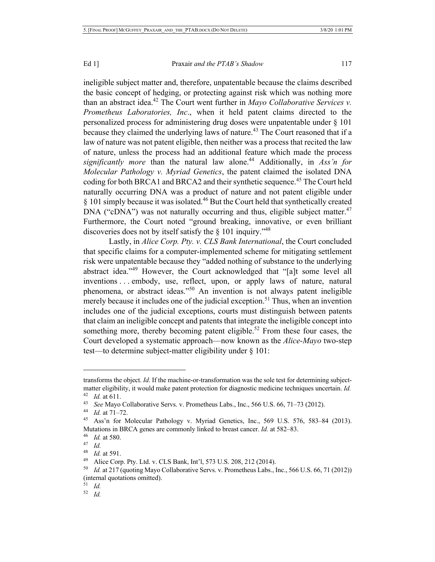ineligible subject matter and, therefore, unpatentable because the claims described the basic concept of hedging, or protecting against risk which was nothing more than an abstract idea.42 The Court went further in *Mayo Collaborative Services v. Prometheus Laboratories, Inc*., when it held patent claims directed to the personalized process for administering drug doses were unpatentable under § 101 because they claimed the underlying laws of nature.<sup>43</sup> The Court reasoned that if a law of nature was not patent eligible, then neither was a process that recited the law of nature, unless the process had an additional feature which made the process *significantly more* than the natural law alone.<sup>44</sup> Additionally, in *Ass'n for Molecular Pathology v. Myriad Genetics*, the patent claimed the isolated DNA coding for both BRCA1 and BRCA2 and their synthetic sequence.<sup>45</sup> The Court held naturally occurring DNA was a product of nature and not patent eligible under  $§$  101 simply because it was isolated.<sup>46</sup> But the Court held that synthetically created DNA ("cDNA") was not naturally occurring and thus, eligible subject matter.<sup>47</sup> Furthermore, the Court noted "ground breaking, innovative, or even brilliant discoveries does not by itself satisfy the  $\S$  101 inquiry.<sup> $148$ </sup>

Lastly, in *Alice Corp. Pty. v. CLS Bank International*, the Court concluded that specific claims for a computer-implemented scheme for mitigating settlement risk were unpatentable because they "added nothing of substance to the underlying abstract idea."<sup>49</sup> However, the Court acknowledged that "[a]t some level all inventions . . . embody, use, reflect, upon, or apply laws of nature, natural phenomena, or abstract ideas."50 An invention is not always patent ineligible merely because it includes one of the judicial exception.<sup>51</sup> Thus, when an invention includes one of the judicial exceptions, courts must distinguish between patents that claim an ineligible concept and patents that integrate the ineligible concept into something more, thereby becoming patent eligible.<sup>52</sup> From these four cases, the Court developed a systematic approach—now known as the *Alice-Mayo* two-step test—to determine subject-matter eligibility under § 101:

transforms the object. *Id.* If the machine-or-transformation was the sole test for determining subjectmatter eligibility, it would make patent protection for diagnostic medicine techniques uncertain. *Id.* <sup>42</sup> *Id.* at 611.

<sup>43</sup> *See* Mayo Collaborative Servs. v. Prometheus Labs., Inc., 566 U.S. 66, 71–73 (2012).

<sup>44</sup> *Id.* at 71–72.

<sup>45</sup> Ass'n for Molecular Pathology v. Myriad Genetics, Inc., 569 U.S. 576, 583–84 (2013). Mutations in BRCA genes are commonly linked to breast cancer. *Id.* at 582–83.

<sup>46</sup> *Id.* at 580.

<sup>47</sup> *Id.*

<sup>48</sup> *Id.* at 591.

<sup>49</sup> Alice Corp. Pty. Ltd. v. CLS Bank, Int'l, 573 U.S. 208, 212 (2014).

<sup>50</sup> *Id.* at 217 (quoting Mayo Collaborative Servs. v. Prometheus Labs., Inc., 566 U.S. 66, 71 (2012)) (internal quotations omitted).

<sup>51</sup> *Id.*

<sup>52</sup> *Id.*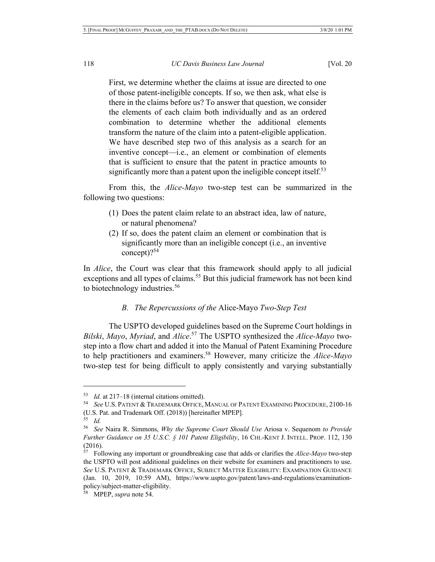First, we determine whether the claims at issue are directed to one of those patent-ineligible concepts. If so, we then ask, what else is there in the claims before us? To answer that question, we consider the elements of each claim both individually and as an ordered combination to determine whether the additional elements transform the nature of the claim into a patent-eligible application. We have described step two of this analysis as a search for an inventive concept—i.e., an element or combination of elements that is sufficient to ensure that the patent in practice amounts to significantly more than a patent upon the ineligible concept itself. $53$ 

From this, the *Alice-Mayo* two-step test can be summarized in the following two questions:

- (1) Does the patent claim relate to an abstract idea, law of nature, or natural phenomena?
- (2) If so, does the patent claim an element or combination that is significantly more than an ineligible concept (i.e., an inventive concept $)$ ?<sup>54</sup>

In *Alice*, the Court was clear that this framework should apply to all judicial exceptions and all types of claims.<sup>55</sup> But this judicial framework has not been kind to biotechnology industries.<sup>56</sup>

## *B. The Repercussions of the* Alice-Mayo *Two-Step Test*

The USPTO developed guidelines based on the Supreme Court holdings in *Bilski*, *Mayo*, *Myriad*, and *Alice*. <sup>57</sup> The USPTO synthesized the *Alice-Mayo* twostep into a flow chart and added it into the Manual of Patent Examining Procedure to help practitioners and examiners.58 However, many criticize the *Alice-Mayo* two-step test for being difficult to apply consistently and varying substantially

<sup>53</sup> *Id.* at 217–18 (internal citations omitted).

<sup>54</sup> *See* U.S. PATENT & TRADEMARK OFFICE, MANUAL OF PATENT EXAMINING PROCEDURE, 2100-16 (U.S. Pat. and Trademark Off. (2018)) [hereinafter MPEP].

<sup>55</sup> *Id.*

<sup>56</sup> *See* Naira R. Simmons, *Why the Supreme Court Should Use* Ariosa v. Sequenom *to Provide Further Guidance on 35 U.S.C. § 101 Patent Eligibility*, 16 CHI.-KENT J. INTELL. PROP. 112, 130  $\frac{(2016)}{57}$ .

<sup>57</sup> Following any important or groundbreaking case that adds or clarifies the *Alice-Mayo* two-step the USPTO will post additional guidelines on their website for examiners and practitioners to use. *See* U.S. PATENT & TRADEMARK OFFICE, SUBJECT MATTER ELIGIBILITY: EXAMINATION GUIDANCE (Jan. 10, 2019, 10:59 AM), https://www.uspto.gov/patent/laws-and-regulations/examinationpolicy/subject-matter-eligibility.

<sup>58</sup> MPEP, *supra* note 54.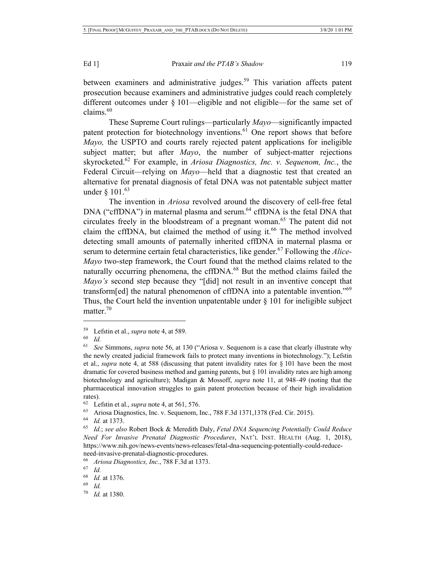between examiners and administrative judges.<sup>59</sup> This variation affects patent prosecution because examiners and administrative judges could reach completely different outcomes under § 101—eligible and not eligible—for the same set of claims.60

These Supreme Court rulings—particularly *Mayo*—significantly impacted patent protection for biotechnology inventions.<sup>61</sup> One report shows that before *Mayo,* the USPTO and courts rarely rejected patent applications for ineligible subject matter; but after *Mayo*, the number of subject-matter rejections skyrocketed.62 For example, in *Ariosa Diagnostics, Inc. v. Sequenom, Inc.*, the Federal Circuit—relying on *Mayo*—held that a diagnostic test that created an alternative for prenatal diagnosis of fetal DNA was not patentable subject matter under § 101.<sup>63</sup>

The invention in *Ariosa* revolved around the discovery of cell-free fetal DNA ("cffDNA") in maternal plasma and serum.<sup>64</sup> cffDNA is the fetal DNA that circulates freely in the bloodstream of a pregnant woman.<sup>65</sup> The patent did not claim the cffDNA, but claimed the method of using it.<sup>66</sup> The method involved detecting small amounts of paternally inherited cffDNA in maternal plasma or serum to determine certain fetal characteristics, like gender.<sup>67</sup> Following the *Alice*-*Mayo* two-step framework, the Court found that the method claims related to the naturally occurring phenomena, the cffDNA.<sup>68</sup> But the method claims failed the *Mayo's* second step because they "[did] not result in an inventive concept that transform[ed] the natural phenomenon of cffDNA into a patentable invention."<sup>69</sup> Thus, the Court held the invention unpatentable under § 101 for ineligible subject matter.<sup>70</sup>

 $^{59}$  Lefstin et al., *supra* note 4, at 589.

 $\begin{matrix} 60 & Id. \\ 61 & So. \end{matrix}$ 

<sup>61</sup> *See* Simmons, *supra* note 56, at 130 ("Ariosa v. Sequenom is a case that clearly illustrate why the newly created judicial framework fails to protect many inventions in biotechnology."); Lefstin et al., *supra* note 4, at 588 (discussing that patent invalidity rates for § 101 have been the most dramatic for covered business method and gaming patents, but § 101 invalidity rates are high among biotechnology and agriculture); Madigan & Mossoff, *supra* note 11, at 948–49 (noting that the pharmaceutical innovation struggles to gain patent protection because of their high invalidation rates).

<sup>62</sup> Lefstin et al., *supra* note 4, at 561, 576.

<sup>63</sup> Ariosa Diagnostics, Inc. v. Sequenom, Inc., 788 F.3d 1371,1378 (Fed. Cir. 2015).

<sup>64</sup> *Id.* at 1373.

<sup>65</sup> *Id.*; *see also* Robert Bock & Meredith Daly, *Fetal DNA Sequencing Potentially Could Reduce Need For Invasive Prenatal Diagnostic Procedures*, NAT'L INST. HEALTH (Aug. 1, 2018), https://www.nih.gov/news-events/news-releases/fetal-dna-sequencing-potentially-could-reduceneed-invasive-prenatal-diagnostic-procedures.

<sup>66</sup> *Ariosa Diagnostics, Inc.*, 788 F.3d at 1373.

<sup>67</sup> *Id.*

<sup>68</sup> *Id.* at 1376.

 $\frac{69}{70}$  *Id.* 

*Id.* at 1380.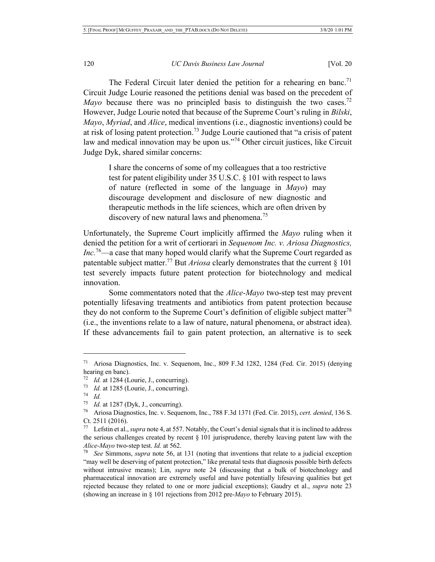The Federal Circuit later denied the petition for a rehearing en banc.<sup>71</sup> Circuit Judge Lourie reasoned the petitions denial was based on the precedent of *Mayo* because there was no principled basis to distinguish the two cases.<sup>72</sup> However, Judge Lourie noted that because of the Supreme Court's ruling in *Bilski*, *Mayo*, *Myriad*, and *Alice*, medical inventions (i.e., diagnostic inventions) could be at risk of losing patent protection.<sup>73</sup> Judge Lourie cautioned that "a crisis of patent law and medical innovation may be upon us."<sup>74</sup> Other circuit justices, like Circuit Judge Dyk, shared similar concerns:

I share the concerns of some of my colleagues that a too restrictive test for patent eligibility under 35 U.S.C. § 101 with respect to laws of nature (reflected in some of the language in *Mayo*) may discourage development and disclosure of new diagnostic and therapeutic methods in the life sciences, which are often driven by discovery of new natural laws and phenomena.<sup>75</sup>

Unfortunately, the Supreme Court implicitly affirmed the *Mayo* ruling when it denied the petition for a writ of certiorari in *Sequenom Inc. v. Ariosa Diagnostics, Inc.*76—a case that many hoped would clarify what the Supreme Court regarded as patentable subject matter.<sup>77</sup> But *Ariosa* clearly demonstrates that the current  $\S$  101 test severely impacts future patent protection for biotechnology and medical innovation.

Some commentators noted that the *Alice-Mayo* two-step test may prevent potentially lifesaving treatments and antibiotics from patent protection because they do not conform to the Supreme Court's definition of eligible subject matter<sup>78</sup> (i.e., the inventions relate to a law of nature, natural phenomena, or abstract idea). If these advancements fail to gain patent protection, an alternative is to seek

<sup>71</sup> Ariosa Diagnostics, Inc. v. Sequenom, Inc., 809 F.3d 1282, 1284 (Fed. Cir. 2015) (denying hearing en banc).

<sup>72</sup> *Id.* at 1284 (Lourie, J., concurring).

<sup>73</sup> *Id.* at 1285 (Lourie, J., concurring).

<sup>74</sup> *Id.*

<sup>75</sup> *Id.* at 1287 (Dyk, J., concurring).

<sup>76</sup> Ariosa Diagnostics, Inc. v. Sequenom, Inc., 788 F.3d 1371 (Fed. Cir. 2015), *cert. denied*, 136 S. Ct. 2511 (2016).

<sup>77</sup> Lefstin et al., *supra* note 4, at 557. Notably, the Court's denial signals that it is inclined to address the serious challenges created by recent § 101 jurisprudence, thereby leaving patent law with the *Alice-Mayo* two-step test. *Id.* at 562.

<sup>78</sup> *See* Simmons, *supra* note 56, at 131 (noting that inventions that relate to a judicial exception "may well be deserving of patent protection," like prenatal tests that diagnosis possible birth defects without intrusive means); Lin, *supra* note 24 (discussing that a bulk of biotechnology and pharmaceutical innovation are extremely useful and have potentially lifesaving qualities but get rejected because they related to one or more judicial exceptions); Gaudry et al., *supra* note 23 (showing an increase in § 101 rejections from 2012 pre-*Mayo* to February 2015).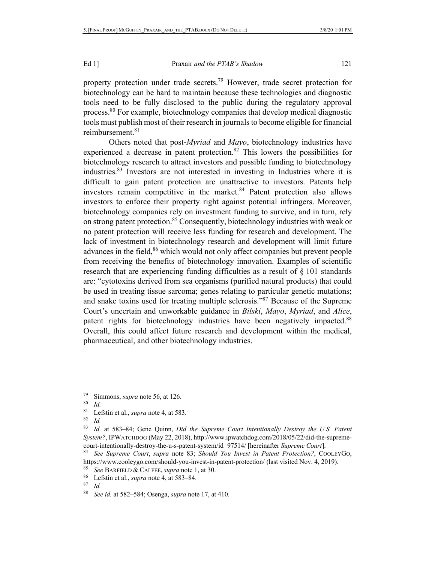property protection under trade secrets.<sup>79</sup> However, trade secret protection for biotechnology can be hard to maintain because these technologies and diagnostic tools need to be fully disclosed to the public during the regulatory approval process.<sup>80</sup> For example, biotechnology companies that develop medical diagnostic tools must publish most of their research in journals to become eligible for financial reimbursement.<sup>81</sup>

Others noted that post-*Myriad* and *Mayo*, biotechnology industries have experienced a decrease in patent protection.<sup>82</sup> This lowers the possibilities for biotechnology research to attract investors and possible funding to biotechnology industries.83 Investors are not interested in investing in Industries where it is difficult to gain patent protection are unattractive to investors. Patents help investors remain competitive in the market. $84$  Patent protection also allows investors to enforce their property right against potential infringers. Moreover, biotechnology companies rely on investment funding to survive, and in turn, rely on strong patent protection.<sup>85</sup> Consequently, biotechnology industries with weak or no patent protection will receive less funding for research and development. The lack of investment in biotechnology research and development will limit future advances in the field,<sup>86</sup> which would not only affect companies but prevent people from receiving the benefits of biotechnology innovation. Examples of scientific research that are experiencing funding difficulties as a result of § 101 standards are: "cytotoxins derived from sea organisms (purified natural products) that could be used in treating tissue sarcoma; genes relating to particular genetic mutations; and snake toxins used for treating multiple sclerosis."87 Because of the Supreme Court's uncertain and unworkable guidance in *Bilski*, *Mayo*, *Myriad*, and *Alice*, patent rights for biotechnology industries have been negatively impacted.<sup>88</sup> Overall, this could affect future research and development within the medical, pharmaceutical, and other biotechnology industries.

<sup>&</sup>lt;sup>79</sup> Simmons, *supra* note 56, at 126.<br><sup>80</sup> Id

<sup>80</sup> *Id.*

<sup>&</sup>lt;sup>81</sup> Lefstin et al., *supra* note 4, at 583.

*Id.* 

<sup>83</sup> *Id.* at 583–84; Gene Quinn, *Did the Supreme Court Intentionally Destroy the U.S. Patent System?*, IPWATCHDOG (May 22, 2018), http://www.ipwatchdog.com/2018/05/22/did-the-supremecourt-intentionally-destroy-the-u-s-patent-system/id=97514/ [hereinafter *Supreme Court*].

<sup>84</sup> *See Supreme Court*, *supra* note 83; *Should You Invest in Patent Protection?*, COOLEYGO, https://www.cooleygo.com/should-you-invest-in-patent-protection/ (last visited Nov. 4, 2019).

See BARFIELD & CALFEE, *supra* note 1, at 30.

<sup>86</sup> Lefstin et al., *supra* note 4, at 583–84.

 $rac{87}{88}$  *Id.* 

<sup>88</sup> *See id.* at 582–584; Osenga, *supra* note 17, at 410.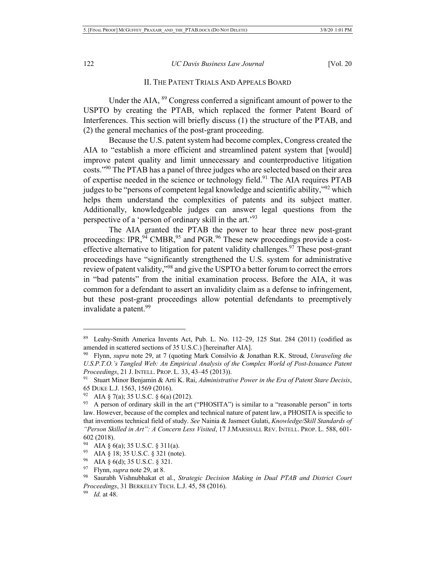## II. THE PATENT TRIALS AND APPEALS BOARD

Under the AIA, <sup>89</sup> Congress conferred a significant amount of power to the USPTO by creating the PTAB, which replaced the former Patent Board of Interferences. This section will briefly discuss (1) the structure of the PTAB, and (2) the general mechanics of the post-grant proceeding.

Because the U.S. patent system had become complex, Congress created the AIA to "establish a more efficient and streamlined patent system that [would] improve patent quality and limit unnecessary and counterproductive litigation costs."90 The PTAB has a panel of three judges who are selected based on their area of expertise needed in the science or technology field.<sup>91</sup> The AIA requires PTAB judges to be "persons of competent legal knowledge and scientific ability,"92 which helps them understand the complexities of patents and its subject matter. Additionally, knowledgeable judges can answer legal questions from the perspective of a 'person of ordinary skill in the art.'<sup>93</sup>

The AIA granted the PTAB the power to hear three new post-grant proceedings: IPR,  $94^{\circ}$  CMBR,  $95^{\circ}$  and PGR.  $96^{\circ}$  These new proceedings provide a costeffective alternative to litigation for patent validity challenges.<sup>97</sup> These post-grant proceedings have "significantly strengthened the U.S. system for administrative review of patent validity,"<sup>98</sup> and give the USPTO a better forum to correct the errors in "bad patents" from the initial examination process. Before the AIA, it was common for a defendant to assert an invalidity claim as a defense to infringement, but these post-grant proceedings allow potential defendants to preemptively invalidate a patent.<sup>99</sup>

<sup>89</sup> Leahy-Smith America Invents Act, Pub. L. No. 112–29, 125 Stat. 284 (2011) (codified as amended in scattered sections of 35 U.S.C.) [hereinafter AIA].

<sup>90</sup> Flynn, *supra* note 29, at 7 (quoting Mark Consilvio & Jonathan R.K. Stroud, *Unraveling the U.S.P.T.O.'s Tangled Web: An Empirical Analysis of the Complex World of Post-Issuance Patent Proceedings*, 21 J. INTELL. PROP. L. 33, 43–45 (2013)).

<sup>91</sup> Stuart Minor Benjamin & Arti K. Rai, *Administrative Power in the Era of Patent Stare Decisis*, 65 DUKE L.J. 1563, 1569 (2016).

<sup>92</sup> AIA § 7(a); 35 U.S.C. § 6(a) (2012).

 $93$  A person of ordinary skill in the art ("PHOSITA") is similar to a "reasonable person" in torts law. However, because of the complex and technical nature of patent law, a PHOSITA is specific to that inventions technical field of study. *See* Nainia & Jasmeet Gulati, *Knowledge/Skill Standards of "Person Skilled in Art": A Concern Less Visited*, 17 J.MARSHALL REV. INTELL. PROP. L. 588, 601- 602 (2018).

<sup>94</sup> AIA § 6(a); 35 U.S.C. § 311(a).

<sup>95</sup> AIA § 18; 35 U.S.C. § 321 (note).

<sup>&</sup>lt;sup>96</sup> AIA § 6(d); 35 U.S.C. § 321.

Flynn, *supra* note 29, at 8.

<sup>98</sup> Saurabh Vishnubhakat et al., *Strategic Decision Making in Dual PTAB and District Court Proceedings*, 31 BERKELEY TECH. L.J. 45, 58 (2016).

*Id.* at 48.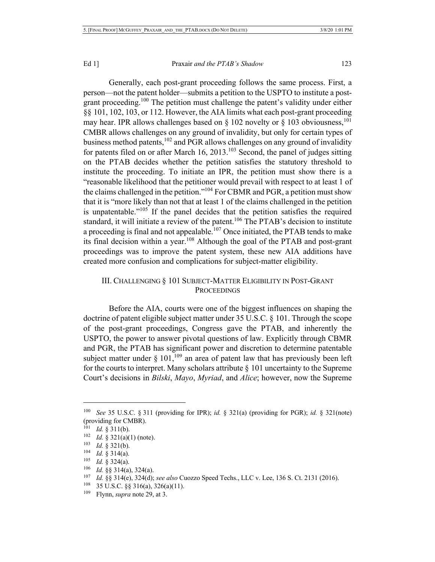Generally, each post-grant proceeding follows the same process. First, a person—not the patent holder—submits a petition to the USPTO to institute a postgrant proceeding.<sup>100</sup> The petition must challenge the patent's validity under either §§ 101, 102, 103, or 112. However, the AIA limits what each post-grant proceeding may hear. IPR allows challenges based on  $\S 102$  novelty or  $\S 103$  obviousness,<sup>101</sup> CMBR allows challenges on any ground of invalidity, but only for certain types of business method patents,  $102$  and PGR allows challenges on any ground of invalidity for patents filed on or after March  $16$ ,  $2013$ .<sup>103</sup> Second, the panel of judges sitting on the PTAB decides whether the petition satisfies the statutory threshold to institute the proceeding. To initiate an IPR, the petition must show there is a "reasonable likelihood that the petitioner would prevail with respect to at least 1 of the claims challenged in the petition."104 For CBMR and PGR, a petition must show that it is "more likely than not that at least 1 of the claims challenged in the petition is unpatentable."<sup>105</sup> If the panel decides that the petition satisfies the required standard, it will initiate a review of the patent.<sup>106</sup> The PTAB's decision to institute a proceeding is final and not appealable.<sup>107</sup> Once initiated, the PTAB tends to make its final decision within a year.<sup>108</sup> Although the goal of the PTAB and post-grant proceedings was to improve the patent system, these new AIA additions have created more confusion and complications for subject-matter eligibility.

## III. CHALLENGING § 101 SUBJECT-MATTER ELIGIBILITY IN POST-GRANT **PROCEEDINGS**

Before the AIA, courts were one of the biggest influences on shaping the doctrine of patent eligible subject matter under 35 U.S.C. § 101. Through the scope of the post-grant proceedings, Congress gave the PTAB, and inherently the USPTO, the power to answer pivotal questions of law. Explicitly through CBMR and PGR, the PTAB has significant power and discretion to determine patentable subject matter under  $\S 101$ ,  $^{109}$  an area of patent law that has previously been left for the courts to interpret. Many scholars attribute  $\S$  101 uncertainty to the Supreme Court's decisions in *Bilski*, *Mayo*, *Myriad*, and *Alice*; however, now the Supreme

<sup>100</sup> *See* 35 U.S.C. § 311 (providing for IPR); *id.* § 321(a) (providing for PGR); *id.* § 321(note) (providing for CMBR).

<sup>101</sup> *Id.* § 311(b).

<sup>&</sup>lt;sup>102</sup> *Id.* § 321(a)(1) (note).<br><sup>103</sup> *Id.* § 321(b)

*Id.* § 321(b).

<sup>104</sup> *Id.* § 314(a).

 $\frac{105}{106}$  *Id.* § 324(a).

<sup>106</sup> *Id.* §§ 314(a), 324(a).

<sup>107</sup> *Id.* §§ 314(e), 324(d); *see also* Cuozzo Speed Techs., LLC v. Lee, 136 S. Ct. 2131 (2016).

<sup>&</sup>lt;sup>108</sup> 35 U.S.C. §§ 316(a), 326(a)(11).

<sup>109</sup> Flynn, *supra* note 29, at 3.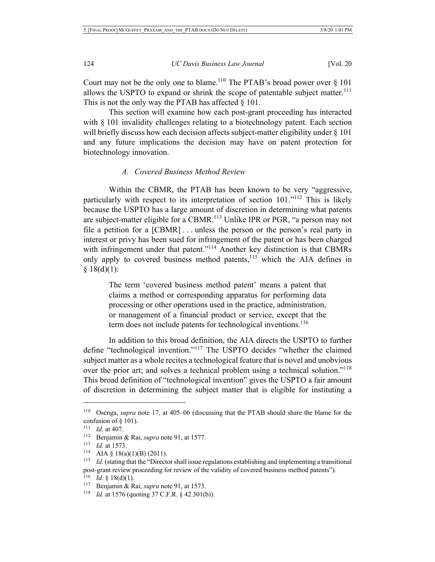Court may not be the only one to blame.<sup>110</sup> The PTAB's broad power over  $\S$  101 allows the USPTO to expand or shrink the scope of patentable subject matter.<sup>111</sup> This is not the only way the PTAB has affected  $\S$  101.

This section will examine how each post-grant proceeding has interacted with  $\S$  101 invalidity challenges relating to a biotechnology patent. Each section will briefly discuss how each decision affects subject-matter eligibility under § 101 and any future implications the decision may have on patent protection for biotechnology innovation.

## *A. Covered Business Method Review*

Within the CBMR, the PTAB has been known to be very "aggressive, particularly with respect to its interpretation of section 101."<sup>112</sup> This is likely because the USPTO has a large amount of discretion in determining what patents are subject-matter eligible for a CBMR.<sup>113</sup> Unlike IPR or PGR, "a person may not file a petition for a [CBMR] . . . unless the person or the person's real party in interest or privy has been sued for infringement of the patent or has been charged with infringement under that patent."<sup>114</sup> Another key distinction is that CBMRs only apply to covered business method patents,<sup>115</sup> which the AIA defines in  $§ 18(d)(1):$ 

The term 'covered business method patent' means a patent that claims a method or corresponding apparatus for performing data processing or other operations used in the practice, administration, or management of a financial product or service, except that the term does not include patents for technological inventions.<sup>116</sup>

In addition to this broad definition, the AIA directs the USPTO to further define "technological invention."<sup>117</sup> The USPTO decides "whether the claimed subject matter as a whole recites a technological feature that is novel and unobvious over the prior art; and solves a technical problem using a technical solution."<sup>118</sup> This broad definition of "technological invention" gives the USPTO a fair amount of discretion in determining the subject matter that is eligible for instituting a

<sup>110</sup> Osenga, *supra* note 17, at 405–06 (discussing that the PTAB should share the blame for the confusion of § 101).

<sup>111</sup> *Id.* at 407.

<sup>112</sup> Benjamin & Rai, *supra* note 91, at 1577.

<sup>113</sup> *Id.* at 1573.

<sup>&</sup>lt;sup>114</sup> AIA § 18(a)(1)(B) (2011).

<sup>115</sup> *Id.* (stating that the "Director shall issue regulations establishing and implementing a transitional post-grant review proceeding for review of the validity of covered business method patents").

<sup>&</sup>lt;sup>116</sup> *Id.* § 18(d)(1).

<sup>117</sup> Benjamin & Rai, *supra* note 91, at 1573.

<sup>118</sup> *Id.* at 1576 (quoting 37 C.F.R. § 42.301(b)).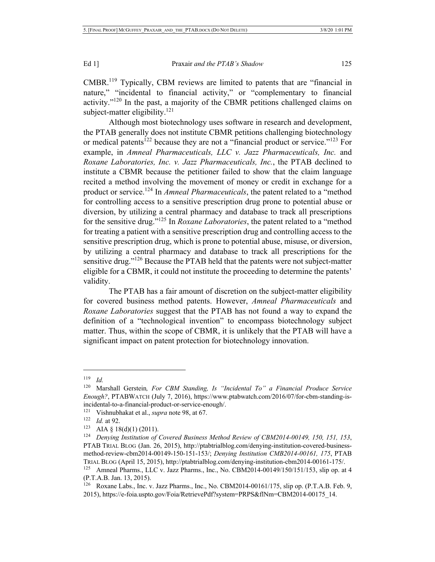CMBR.119 Typically, CBM reviews are limited to patents that are "financial in nature," "incidental to financial activity," or "complementary to financial activity." $120$  In the past, a majority of the CBMR petitions challenged claims on subject-matter eligibility. $121$ 

Although most biotechnology uses software in research and development, the PTAB generally does not institute CBMR petitions challenging biotechnology or medical patents<sup>122</sup> because they are not a "financial product or service."<sup>123</sup> For example, in *Amneal Pharmaceuticals, LLC v. Jazz Pharmaceuticals, Inc.* and *Roxane Laboratories, Inc. v. Jazz Pharmaceuticals, Inc.*, the PTAB declined to institute a CBMR because the petitioner failed to show that the claim language recited a method involving the movement of money or credit in exchange for a product or service.<sup>124</sup> In *Amneal Pharmaceuticals*, the patent related to a "method for controlling access to a sensitive prescription drug prone to potential abuse or diversion, by utilizing a central pharmacy and database to track all prescriptions for the sensitive drug."125 In *Roxane Laboratories*, the patent related to a "method for treating a patient with a sensitive prescription drug and controlling access to the sensitive prescription drug, which is prone to potential abuse, misuse, or diversion, by utilizing a central pharmacy and database to track all prescriptions for the sensitive drug."<sup>126</sup> Because the PTAB held that the patents were not subject-matter eligible for a CBMR, it could not institute the proceeding to determine the patents' validity.

The PTAB has a fair amount of discretion on the subject-matter eligibility for covered business method patents. However, *Amneal Pharmaceuticals* and *Roxane Laboratories* suggest that the PTAB has not found a way to expand the definition of a "technological invention" to encompass biotechnology subject matter. Thus, within the scope of CBMR, it is unlikely that the PTAB will have a significant impact on patent protection for biotechnology innovation.

<sup>119</sup> *Id.*

<sup>120</sup> Marshall Gerstein*, For CBM Standing, Is "Incidental To" a Financial Produce Service Enough?*, PTABWATCH (July 7, 2016), https://www.ptabwatch.com/2016/07/for-cbm-standing-isincidental-to-a-financial-product-or-service-enough/.

<sup>121</sup> Vishnubhakat et al., *supra* note 98, at 67.

<sup>122</sup> *Id.* at 92.

<sup>123</sup> AIA § 18(d)(1) (2011).

<sup>124</sup> *Denying Institution of Covered Business Method Review of CBM2014-00149, 150, 151, 153*, PTAB TRIAL BLOG (Jan. 26, 2015), http://ptabtrialblog.com/denying-institution-covered-businessmethod-review-cbm2014-00149-150-151-153/; *Denying Institution CMB2014-00161, 175*, PTAB TRIAL BLOG (April 15, 2015), http://ptabtrialblog.com/denying-institution-cbm2014-00161-175/.

Amneal Pharms., LLC v. Jazz Pharms., Inc., No. CBM2014-00149/150/151/153, slip op. at 4 (P.T.A.B. Jan. 13, 2015).

<sup>126</sup> Roxane Labs., Inc. v. Jazz Pharms., Inc., No. CBM2014-00161/175, slip op. (P.T.A.B. Feb. 9, 2015), https://e-foia.uspto.gov/Foia/RetrievePdf?system=PRPS&flNm=CBM2014-00175\_14.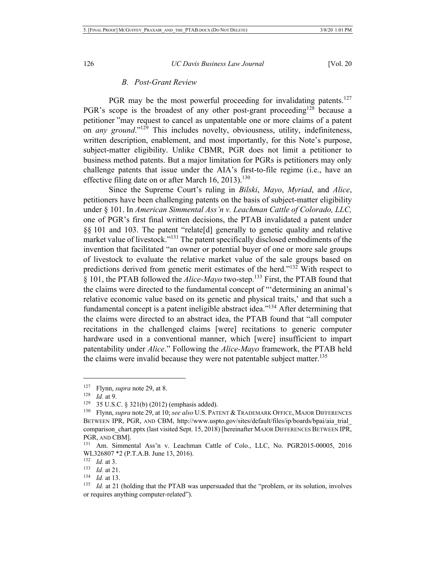## *B. Post-Grant Review*

PGR may be the most powerful proceeding for invalidating patents.<sup>127</sup> PGR's scope is the broadest of any other post-grant proceeding<sup>128</sup> because a petitioner "may request to cancel as unpatentable one or more claims of a patent on *any ground*."129 This includes novelty, obviousness, utility, indefiniteness, written description, enablement, and most importantly, for this Note's purpose, subject-matter eligibility. Unlike CBMR, PGR does not limit a petitioner to business method patents. But a major limitation for PGRs is petitioners may only challenge patents that issue under the AIA's first-to-file regime (i.e., have an effective filing date on or after March 16, 2013).<sup>130</sup>

Since the Supreme Court's ruling in *Bilski*, *Mayo*, *Myriad*, and *Alice*, petitioners have been challenging patents on the basis of subject-matter eligibility under § 101. In *American Simmental Ass'n v. Leachman Cattle of Colorado, LLC,* one of PGR's first final written decisions, the PTAB invalidated a patent under §§ 101 and 103. The patent "relate[d] generally to genetic quality and relative market value of livestock."131 The patent specifically disclosed embodiments of the invention that facilitated "an owner or potential buyer of one or more sale groups of livestock to evaluate the relative market value of the sale groups based on predictions derived from genetic merit estimates of the herd."132 With respect to § 101, the PTAB followed the *Alice-Mayo* two-step.133 First, the PTAB found that the claims were directed to the fundamental concept of "'determining an animal's relative economic value based on its genetic and physical traits,' and that such a fundamental concept is a patent ineligible abstract idea."<sup>134</sup> After determining that the claims were directed to an abstract idea, the PTAB found that "all computer recitations in the challenged claims [were] recitations to generic computer hardware used in a conventional manner, which [were] insufficient to impart patentability under *Alice*." Following the *Alice-Mayo* framework, the PTAB held the claims were invalid because they were not patentable subject matter.<sup>135</sup>

<sup>&</sup>lt;sup>127</sup> Flynn, *supra* note 29, at 8.<br><sup>128</sup> *Id.* at 0.

*Id.* at 9.

 $129$  35 U.S.C. § 321(b) (2012) (emphasis added).

<sup>130</sup> Flynn, *supra* note 29, at 10; *see also* U.S. PATENT & TRADEMARK OFFICE, MAJOR DIFFERENCES BETWEEN IPR, PGR, AND CBM, http://www.uspto.gov/sites/default/files/ip/boards/bpai/aia\_trial\_ comparison\_chart.pptx (last visited Sept. 15, 2018) [hereinafter MAJOR DIFFERENCES BETWEEN IPR, PGR, AND CBM].

<sup>131</sup> Am. Simmental Ass'n v. Leachman Cattle of Colo., LLC, No. PGR2015-00005, 2016 WL326807 \*2 (P.T.A.B. June 13, 2016).

<sup>132</sup> *Id.* at 3.

<sup>133</sup> *Id.* at 21.

<sup>134</sup> *Id.* at 13.

<sup>135</sup> *Id.* at 21 (holding that the PTAB was unpersuaded that the "problem, or its solution, involves or requires anything computer-related").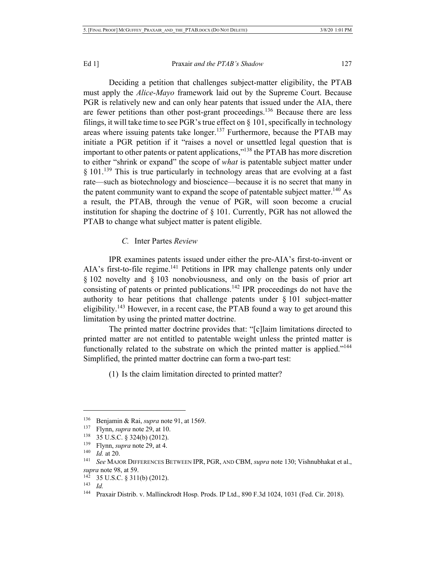Deciding a petition that challenges subject-matter eligibility, the PTAB must apply the *Alice-Mayo* framework laid out by the Supreme Court. Because PGR is relatively new and can only hear patents that issued under the AIA, there are fewer petitions than other post-grant proceedings.<sup>136</sup> Because there are less filings, it will take time to see PGR's true effect on  $\S$  101, specifically in technology areas where issuing patents take longer.<sup>137</sup> Furthermore, because the PTAB may initiate a PGR petition if it "raises a novel or unsettled legal question that is important to other patents or patent applications,"138 the PTAB has more discretion to either "shrink or expand" the scope of *what* is patentable subject matter under § 101.<sup>139</sup> This is true particularly in technology areas that are evolving at a fast rate—such as biotechnology and bioscience—because it is no secret that many in the patent community want to expand the scope of patentable subject matter.<sup>140</sup> As a result, the PTAB, through the venue of PGR, will soon become a crucial institution for shaping the doctrine of  $\S$  101. Currently, PGR has not allowed the PTAB to change what subject matter is patent eligible.

## *C.* Inter Partes *Review*

IPR examines patents issued under either the pre-AIA's first-to-invent or AIA's first-to-file regime.<sup>141</sup> Petitions in IPR may challenge patents only under § 102 novelty and § 103 nonobviousness, and only on the basis of prior art consisting of patents or printed publications.<sup>142</sup> IPR proceedings do not have the authority to hear petitions that challenge patents under  $\S 101$  subject-matter eligibility.<sup>143</sup> However, in a recent case, the PTAB found a way to get around this limitation by using the printed matter doctrine.

The printed matter doctrine provides that: "[c]laim limitations directed to printed matter are not entitled to patentable weight unless the printed matter is functionally related to the substrate on which the printed matter is applied."<sup>144</sup> Simplified, the printed matter doctrine can form a two-part test:

(1) Is the claim limitation directed to printed matter?

<sup>136</sup> Benjamin & Rai, *supra* note 91, at 1569.

<sup>137</sup> Flynn, *supra* note 29, at 10.

<sup>138</sup> 35 U.S.C. § 324(b) (2012).

<sup>&</sup>lt;sup>139</sup> Flynn, *supra* note 29, at 4.<br><sup>140</sup> *Id.* at 20.

<sup>&</sup>lt;sup>141</sup> *See* MAJOR DIFFERENCES BETWEEN IPR, PGR, AND CBM, *supra* note 130; Vishnubhakat et al., *supra* note 98, at 59.

 $142$  35 U.S.C. § 311(b) (2012).

 $\frac{143}{144}$  *Id.* 

<sup>144</sup> Praxair Distrib. v. Mallinckrodt Hosp. Prods. IP Ltd., 890 F.3d 1024, 1031 (Fed. Cir. 2018).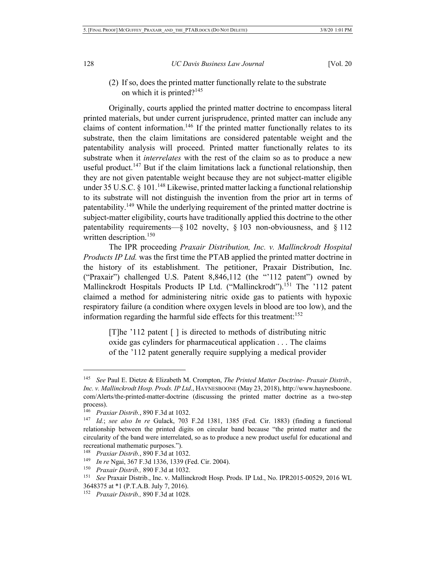## (2) If so, does the printed matter functionally relate to the substrate on which it is printed?<sup>145</sup>

Originally, courts applied the printed matter doctrine to encompass literal printed materials, but under current jurisprudence, printed matter can include any claims of content information.<sup>146</sup> If the printed matter functionally relates to its substrate, then the claim limitations are considered patentable weight and the patentability analysis will proceed. Printed matter functionally relates to its substrate when it *interrelates* with the rest of the claim so as to produce a new useful product.<sup>147</sup> But if the claim limitations lack a functional relationship, then they are not given patentable weight because they are not subject-matter eligible under 35 U.S.C. § 101.<sup>148</sup> Likewise, printed matter lacking a functional relationship to its substrate will not distinguish the invention from the prior art in terms of patentability.149 While the underlying requirement of the printed matter doctrine is subject-matter eligibility, courts have traditionally applied this doctrine to the other patentability requirements—§ 102 novelty, § 103 non-obviousness, and § 112 written description.<sup>150</sup>

The IPR proceeding *Praxair Distribution, Inc. v. Mallinckrodt Hospital Products IP Ltd.* was the first time the PTAB applied the printed matter doctrine in the history of its establishment. The petitioner, Praxair Distribution, Inc. ("Praxair") challenged U.S. Patent 8,846,112 (the "'112 patent") owned by Mallinckrodt Hospitals Products IP Ltd. ("Mallinckrodt").<sup>151</sup> The '112 patent claimed a method for administering nitric oxide gas to patients with hypoxic respiratory failure (a condition where oxygen levels in blood are too low), and the information regarding the harmful side effects for this treatment: $152$ 

[T]he '112 patent [ ] is directed to methods of distributing nitric oxide gas cylinders for pharmaceutical application . . . The claims of the '112 patent generally require supplying a medical provider

<sup>145</sup> *See* Paul E. Dietze & Elizabeth M. Crompton, *The Printed Matter Doctrine- Praxair Distrib., Inc. v. Mallinckrodt Hosp. Prods. IP Ltd*., HAYNESBOONE (May 23, 2018), http://www.haynesboone. com/Alerts/the-printed-matter-doctrine (discussing the printed matter doctrine as a two-step process).

<sup>146</sup> *Praxiar Distrib.*, 890 F.3d at 1032.

<sup>147</sup> *Id.*; *see also In re* Gulack, 703 F.2d 1381, 1385 (Fed. Cir. 1883) (finding a functional relationship between the printed digits on circular band because "the printed matter and the circularity of the band were interrelated, so as to produce a new product useful for educational and recreational mathematic purposes.").

<sup>148</sup> *Praxiar Distrib.*, 890 F.3d at 1032.

<sup>149</sup> *In re* Ngai, 367 F.3d 1336, 1339 (Fed. Cir. 2004).

<sup>150</sup> *Praxair Distrib.,* 890 F.3d at 1032.

<sup>151</sup> *See* Praxair Distrib., Inc. v. Mallinckrodt Hosp. Prods. IP Ltd., No. IPR2015-00529, 2016 WL 3648375 at \*1 (P.T.A.B. July 7, 2016).

<sup>152</sup> *Praxair Distrib.,* 890 F.3d at 1028.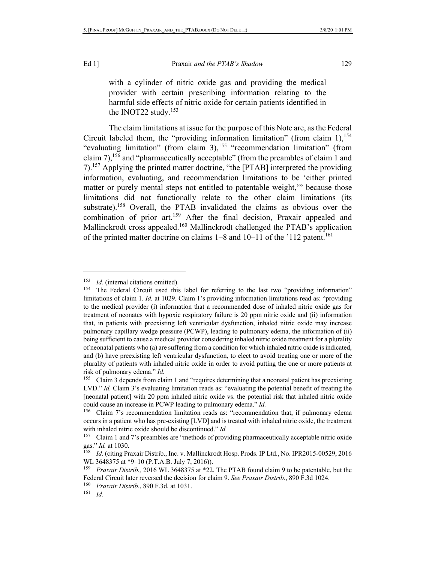with a cylinder of nitric oxide gas and providing the medical provider with certain prescribing information relating to the harmful side effects of nitric oxide for certain patients identified in the INOT22 study. $153$ 

The claim limitations at issue for the purpose of this Note are, as the Federal Circuit labeled them, the "providing information limitation" (from claim  $1$ ),  $154$ "evaluating limitation" (from claim  $3$ ),<sup>155</sup> "recommendation limitation" (from claim 7),<sup>156</sup> and "pharmaceutically acceptable" (from the preambles of claim 1 and 7).<sup>157</sup> Applying the printed matter doctrine, "the [PTAB] interpreted the providing information, evaluating, and recommendation limitations to be 'either printed matter or purely mental steps not entitled to patentable weight,'" because those limitations did not functionally relate to the other claim limitations (its substrate).<sup>158</sup> Overall, the PTAB invalidated the claims as obvious over the combination of prior art.<sup>159</sup> After the final decision, Praxair appealed and Mallinckrodt cross appealed.<sup>160</sup> Mallinckrodt challenged the PTAB's application of the printed matter doctrine on claims  $1-8$  and  $10-11$  of the '112 patent.<sup>161</sup>

<sup>&</sup>lt;sup>153</sup> *Id.* (internal citations omitted).

<sup>&</sup>lt;sup>154</sup> The Federal Circuit used this label for referring to the last two "providing information" limitations of claim 1. *Id.* at 1029*.* Claim 1's providing information limitations read as: "providing to the medical provider (i) information that a recommended dose of inhaled nitric oxide gas for treatment of neonates with hypoxic respiratory failure is 20 ppm nitric oxide and (ii) information that, in patients with preexisting left ventricular dysfunction, inhaled nitric oxide may increase pulmonary capillary wedge pressure (PCWP), leading to pulmonary edema, the information of (ii) being sufficient to cause a medical provider considering inhaled nitric oxide treatment for a plurality of neonatal patients who (a) are suffering from a condition for which inhaled nitric oxide is indicated, and (b) have preexisting left ventricular dysfunction, to elect to avoid treating one or more of the plurality of patients with inhaled nitric oxide in order to avoid putting the one or more patients at risk of pulmonary edema." *Id.*

 $155$  Claim 3 depends from claim 1 and "requires determining that a neonatal patient has preexisting LVD." *Id.* Claim 3's evaluating limitation reads as: "evaluating the potential benefit of treating the [neonatal patient] with 20 ppm inhaled nitric oxide vs. the potential risk that inhaled nitric oxide could cause an increase in PCWP leading to pulmonary edema." *Id.*

<sup>156</sup> Claim 7's recommendation limitation reads as: "recommendation that, if pulmonary edema occurs in a patient who has pre-existing [LVD] and is treated with inhaled nitric oxide, the treatment with inhaled nitric oxide should be discontinued." *Id.*

<sup>&</sup>lt;sup>157</sup> Claim 1 and 7's preambles are "methods of providing pharmaceutically acceptable nitric oxide gas." *Id.* at 1030.

<sup>158</sup> *Id.* (citing Praxair Distrib., Inc. v. Mallinckrodt Hosp. Prods. IP Ltd., No. IPR2015-00529, 2016 WL 3648375 at \*9–10 (P.T.A.B. July 7, 2016)).

<sup>159</sup> *Praxair Distrib.,* 2016 WL 3648375 at \*22. The PTAB found claim 9 to be patentable, but the Federal Circuit later reversed the decision for claim 9. *See Praxair Distrib*., 890 F.3d 1024.

<sup>160</sup> *Praxair Distrib*., 890 F.3d*.* at 1031.

<sup>161</sup> *Id.*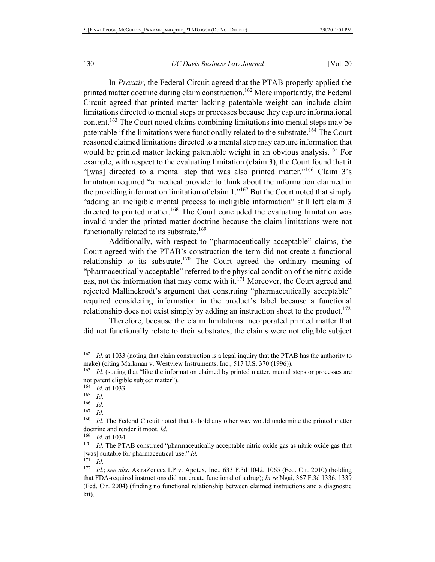In *Praxair*, the Federal Circuit agreed that the PTAB properly applied the printed matter doctrine during claim construction.<sup>162</sup> More importantly, the Federal Circuit agreed that printed matter lacking patentable weight can include claim limitations directed to mental steps or processes because they capture informational content.<sup>163</sup> The Court noted claims combining limitations into mental steps may be patentable if the limitations were functionally related to the substrate.<sup>164</sup> The Court reasoned claimed limitations directed to a mental step may capture information that would be printed matter lacking patentable weight in an obvious analysis.<sup>165</sup> For example, with respect to the evaluating limitation (claim 3), the Court found that it "[was] directed to a mental step that was also printed matter."<sup>166</sup> Claim 3's limitation required "a medical provider to think about the information claimed in the providing information limitation of claim  $1.^{167}$  But the Court noted that simply "adding an ineligible mental process to ineligible information" still left claim 3 directed to printed matter.<sup>168</sup> The Court concluded the evaluating limitation was invalid under the printed matter doctrine because the claim limitations were not functionally related to its substrate.<sup>169</sup>

Additionally, with respect to "pharmaceutically acceptable" claims, the Court agreed with the PTAB's construction the term did not create a functional relationship to its substrate.<sup>170</sup> The Court agreed the ordinary meaning of "pharmaceutically acceptable" referred to the physical condition of the nitric oxide gas, not the information that may come with it. $171$  Moreover, the Court agreed and rejected Mallinckrodt's argument that construing "pharmaceutically acceptable" required considering information in the product's label because a functional relationship does not exist simply by adding an instruction sheet to the product.<sup>172</sup>

Therefore, because the claim limitations incorporated printed matter that did not functionally relate to their substrates, the claims were not eligible subject

<sup>&</sup>lt;sup>162</sup> *Id.* at 1033 (noting that claim construction is a legal inquiry that the PTAB has the authority to make) (citing Markman v. Westview Instruments, Inc., 517 U.S. 370 (1996)).

<sup>163</sup> *Id.* (stating that "like the information claimed by printed matter, mental steps or processes are not patent eligible subject matter").

<sup>164</sup> *Id.* at 1033.

<sup>165</sup> *Id.*

<sup>166</sup> *Id.*

<sup>167</sup> *Id.*

<sup>168</sup> *Id.* The Federal Circuit noted that to hold any other way would undermine the printed matter doctrine and render it moot. *Id.*

<sup>169</sup> *Id.* at 1034.

<sup>&</sup>lt;sup>170</sup> *Id.* The PTAB construed "pharmaceutically acceptable nitric oxide gas as nitric oxide gas that [was] suitable for pharmaceutical use." *Id.*

 $\frac{171}{172}$  *Id.* 

<sup>172</sup> *Id.*; *see also* AstraZeneca LP v. Apotex, Inc., 633 F.3d 1042, 1065 (Fed. Cir. 2010) (holding that FDA-required instructions did not create functional of a drug); *In re* Ngai, 367 F.3d 1336, 1339 (Fed. Cir. 2004) (finding no functional relationship between claimed instructions and a diagnostic kit).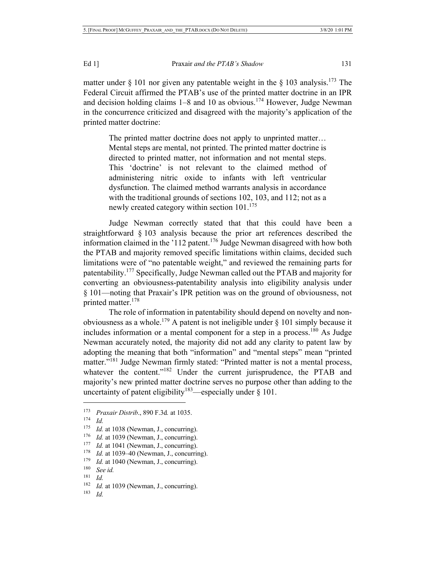matter under § 101 nor given any patentable weight in the § 103 analysis.<sup>173</sup> The Federal Circuit affirmed the PTAB's use of the printed matter doctrine in an IPR and decision holding claims  $1-8$  and 10 as obvious.<sup>174</sup> However, Judge Newman in the concurrence criticized and disagreed with the majority's application of the printed matter doctrine:

The printed matter doctrine does not apply to unprinted matter… Mental steps are mental, not printed. The printed matter doctrine is directed to printed matter, not information and not mental steps. This 'doctrine' is not relevant to the claimed method of administering nitric oxide to infants with left ventricular dysfunction. The claimed method warrants analysis in accordance with the traditional grounds of sections 102, 103, and 112; not as a newly created category within section 101.<sup>175</sup>

Judge Newman correctly stated that that this could have been a straightforward § 103 analysis because the prior art references described the information claimed in the '112 patent.<sup>176</sup> Judge Newman disagreed with how both the PTAB and majority removed specific limitations within claims, decided such limitations were of "no patentable weight," and reviewed the remaining parts for patentability.177 Specifically, Judge Newman called out the PTAB and majority for converting an obviousness-patentability analysis into eligibility analysis under § 101—noting that Praxair's IPR petition was on the ground of obviousness, not printed matter.<sup>178</sup>

The role of information in patentability should depend on novelty and nonobviousness as a whole.<sup>179</sup> A patent is not ineligible under  $\S$  101 simply because it includes information or a mental component for a step in a process.<sup>180</sup> As Judge Newman accurately noted, the majority did not add any clarity to patent law by adopting the meaning that both "information" and "mental steps" mean "printed matter."<sup>181</sup> Judge Newman firmly stated: "Printed matter is not a mental process, whatever the content."<sup>182</sup> Under the current jurisprudence, the PTAB and majority's new printed matter doctrine serves no purpose other than adding to the uncertainty of patent eligibility<sup>183</sup>—especially under  $\S$  101.

<sup>173</sup> *Praxair Distrib*., 890 F.3d*.* at 1035.

<sup>174</sup> *Id.*

<sup>&</sup>lt;sup>175</sup> *Id.* at 1038 (Newman, J., concurring).

<sup>&</sup>lt;sup>176</sup> *Id.* at 1039 (Newman, J., concurring).

<sup>&</sup>lt;sup>177</sup> *Id.* at 1041 (Newman, J., concurring).

<sup>178</sup> *Id.* at 1039–40 (Newman, J., concurring).

<sup>&</sup>lt;sup>179</sup> *Id.* at 1040 (Newman, J., concurring).

<sup>180</sup> *See id.*

<sup>181</sup> *Id.*

 $182$  *Id.* at 1039 (Newman, J., concurring).<br> $183$  *Id* 

*Id.*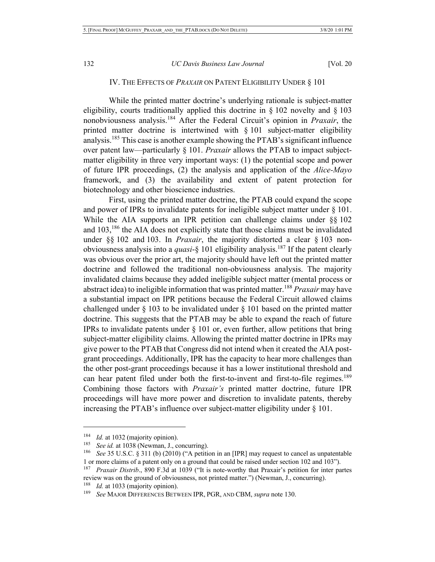## IV. THE EFFECTS OF *PRAXAIR* ON PATENT ELIGIBILITY UNDER § 101

While the printed matter doctrine's underlying rationale is subject-matter eligibility, courts traditionally applied this doctrine in  $\S 102$  novelty and  $\S 103$ nonobviousness analysis.<sup>184</sup> After the Federal Circuit's opinion in *Praxair*, the printed matter doctrine is intertwined with § 101 subject-matter eligibility analysis.<sup>185</sup> This case is another example showing the PTAB's significant influence over patent law—particularly § 101. *Praxair* allows the PTAB to impact subjectmatter eligibility in three very important ways: (1) the potential scope and power of future IPR proceedings, (2) the analysis and application of the *Alice-Mayo* framework, and (3) the availability and extent of patent protection for biotechnology and other bioscience industries.

First, using the printed matter doctrine, the PTAB could expand the scope and power of IPRs to invalidate patents for ineligible subject matter under § 101. While the AIA supports an IPR petition can challenge claims under §§ 102 and  $103$ ,<sup>186</sup>, the AIA does not explicitly state that those claims must be invalidated under §§ 102 and 103. In *Praxair*, the majority distorted a clear § 103 nonobviousness analysis into a *quasi*-§ 101 eligibility analysis.187 If the patent clearly was obvious over the prior art, the majority should have left out the printed matter doctrine and followed the traditional non-obviousness analysis. The majority invalidated claims because they added ineligible subject matter (mental process or abstract idea) to ineligible information that was printed matter.<sup>188</sup> *Praxair* may have a substantial impact on IPR petitions because the Federal Circuit allowed claims challenged under § 103 to be invalidated under § 101 based on the printed matter doctrine. This suggests that the PTAB may be able to expand the reach of future IPRs to invalidate patents under  $\S$  101 or, even further, allow petitions that bring subject-matter eligibility claims. Allowing the printed matter doctrine in IPRs may give power to the PTAB that Congress did not intend when it created the AIA postgrant proceedings. Additionally, IPR has the capacity to hear more challenges than the other post-grant proceedings because it has a lower institutional threshold and can hear patent filed under both the first-to-invent and first-to-file regimes.<sup>189</sup> Combining those factors with *Praxair's* printed matter doctrine, future IPR proceedings will have more power and discretion to invalidate patents, thereby increasing the PTAB's influence over subject-matter eligibility under § 101.

<sup>&</sup>lt;sup>184</sup> *Id.* at 1032 (majority opinion).

See id. at 1038 (Newman, J., concurring).

<sup>186</sup> *See* 35 U.S.C. § 311 (b) (2010) ("A petition in an [IPR] may request to cancel as unpatentable 1 or more claims of a patent only on a ground that could be raised under section 102 and 103").

<sup>187</sup> *Praxair Distrib*., 890 F.3d at 1039 ("It is note-worthy that Praxair's petition for inter partes review was on the ground of obviousness, not printed matter.") (Newman, J., concurring).

<sup>&</sup>lt;sup>188</sup> *Id.* at 1033 (majority opinion).

<sup>189</sup> *See* MAJOR DIFFERENCES BETWEEN IPR, PGR, AND CBM, *supra* note 130.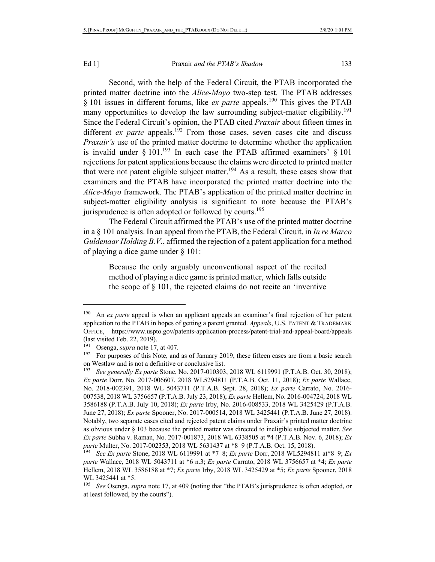Second, with the help of the Federal Circuit, the PTAB incorporated the printed matter doctrine into the *Alice-Mayo* two-step test. The PTAB addresses § 101 issues in different forums, like *ex parte* appeals.<sup>190</sup> This gives the PTAB many opportunities to develop the law surrounding subject-matter eligibility.<sup>191</sup> Since the Federal Circuit's opinion, the PTAB cited *Praxair* about fifteen times in different *ex parte* appeals.<sup>192</sup> From those cases, seven cases cite and discuss *Praxair's* use of the printed matter doctrine to determine whether the application is invalid under  $§ 101.<sup>193</sup>$  In each case the PTAB affirmed examiners'  $§ 101$ rejections for patent applications because the claims were directed to printed matter that were not patent eligible subject matter.<sup>194</sup> As a result, these cases show that examiners and the PTAB have incorporated the printed matter doctrine into the *Alice-Mayo* framework. The PTAB's application of the printed matter doctrine in subject-matter eligibility analysis is significant to note because the PTAB's jurisprudence is often adopted or followed by courts.<sup>195</sup>

The Federal Circuit affirmed the PTAB's use of the printed matter doctrine in a § 101 analysis. In an appeal from the PTAB, the Federal Circuit, in *In re Marco Guldenaar Holding B.V.*, affirmed the rejection of a patent application for a method of playing a dice game under § 101:

Because the only arguably unconventional aspect of the recited method of playing a dice game is printed matter, which falls outside the scope of § 101, the rejected claims do not recite an 'inventive

<sup>&</sup>lt;sup>190</sup> An *ex parte* appeal is when an applicant appeals an examiner's final rejection of her patent application to the PTAB in hopes of getting a patent granted. *Appeals*, U.S. PATENT & TRADEMARK OFFICE, https://www.uspto.gov/patents-application-process/patent-trial-and-appeal-board/appeals (last visited Feb. 22, 2019).

<sup>&</sup>lt;sup>191</sup> Osenga, *supra* note 17, at 407.

<sup>&</sup>lt;sup>192</sup> For purposes of this Note, and as of January 2019, these fifteen cases are from a basic search on Westlaw and is not a definitive or conclusive list.<br> $^{193}$  See generally Ex parte Stone, No. 2017-010303

<sup>193</sup> *See generally Ex parte* Stone, No. 2017-010303, 2018 WL 6119991 (P.T.A.B. Oct. 30, 2018); *Ex parte* Dorr, No. 2017-006607, 2018 WL5294811 (P.T.A.B. Oct. 11, 2018); *Ex parte* Wallace, No. 2018-002391, 2018 WL 5043711 (P.T.A.B. Sept. 28, 2018); *Ex parte* Carrato, No. 2016- 007538, 2018 WL 3756657 (P.T.A.B. July 23, 2018); *Ex parte* Hellem, No. 2016-004724, 2018 WL 3586188 (P.T.A.B. July 10, 2018); *Ex parte* Irby, No. 2016-008533, 2018 WL 3425429 (P.T.A.B. June 27, 2018); *Ex parte* Spooner, No. 2017-000514, 2018 WL 3425441 (P.T.A.B. June 27, 2018). Notably, two separate cases cited and rejected patent claims under Praxair's printed matter doctrine as obvious under § 103 because the printed matter was directed to ineligible subjected matter. *See Ex parte* Subha v. Raman, No. 2017-001873, 2018 WL 6338505 at \*4 (P.T.A.B. Nov. 6, 2018); *Ex parte* Multer, No. 2017-002353, 2018 WL 5631437 at \*8–9 (P.T.A.B. Oct. 15, 2018).

<sup>194</sup> *See Ex parte* Stone, 2018 WL 6119991 at \*7–8; *Ex parte* Dorr, 2018 WL5294811 at\*8–9; *Ex parte* Wallace, 2018 WL 5043711 at \*6 n.3; *Ex parte* Carrato, 2018 WL 3756657 at \*4; *Ex parte* Hellem, 2018 WL 3586188 at \*7; *Ex parte* Irby, 2018 WL 3425429 at \*5; *Ex parte* Spooner, 2018 WL 3425441 at \*5.

<sup>195</sup> *See* Osenga, *supra* note 17, at 409 (noting that "the PTAB's jurisprudence is often adopted, or at least followed, by the courts").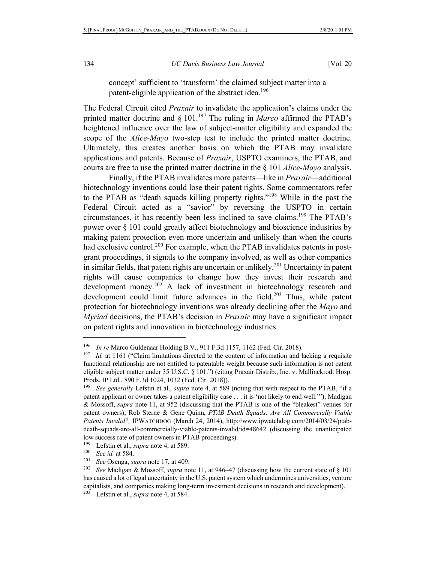concept' sufficient to 'transform' the claimed subject matter into a patent-eligible application of the abstract idea.<sup>196</sup>

The Federal Circuit cited *Praxair* to invalidate the application's claims under the printed matter doctrine and  $\S$  101.<sup>197</sup> The ruling in *Marco* affirmed the PTAB's heightened influence over the law of subject-matter eligibility and expanded the scope of the *Alice-Mayo* two-step test to include the printed matter doctrine. Ultimately, this creates another basis on which the PTAB may invalidate applications and patents. Because of *Praxair*, USPTO examiners, the PTAB, and courts are free to use the printed matter doctrine in the § 101 *Alice-Mayo* analysis.

Finally, if the PTAB invalidates more patents—like in *Praxair*—additional biotechnology inventions could lose their patent rights. Some commentators refer to the PTAB as "death squads killing property rights."198 While in the past the Federal Circuit acted as a "savior" by reversing the USPTO in certain circumstances, it has recently been less inclined to save claims.<sup>199</sup> The PTAB's power over § 101 could greatly affect biotechnology and bioscience industries by making patent protection even more uncertain and unlikely than when the courts had exclusive control.<sup>200</sup> For example, when the PTAB invalidates patents in postgrant proceedings, it signals to the company involved, as well as other companies in similar fields, that patent rights are uncertain or unlikely.<sup>201</sup> Uncertainty in patent rights will cause companies to change how they invest their research and development money.<sup>202</sup> A lack of investment in biotechnology research and development could limit future advances in the field.<sup>203</sup> Thus, while patent protection for biotechnology inventions was already declining after the *Mayo* and *Myriad* decisions, the PTAB's decision in *Praxair* may have a significant impact on patent rights and innovation in biotechnology industries.

<sup>196</sup> *In re* Marco Guldenaar Holding B.V., 911 F.3d 1157, 1162 (Fed. Cir. 2018).

<sup>&</sup>lt;sup>197</sup> *Id.* at 1161 ("Claim limitations directed to the content of information and lacking a requisite functional relationship are not entitled to patentable weight because such information is not patent eligible subject matter under 35 U.S.C. § 101.") (citing Praxair Distrib., Inc. v. Mallinckrodt Hosp. Prods. IP Ltd*.*, 890 F.3d 1024, 1032 (Fed. Cir. 2018)).

<sup>198</sup> *See generally* Lefstin et al., *supra* note 4, at 589 (noting that with respect to the PTAB, "if a patent applicant or owner takes a patent eligibility case . . . it is 'not likely to end well.'"); Madigan & Mossoff, *supra* note 11, at 952 (discussing that the PTAB is one of the "bleakest" venues for patent owners); Rob Sterne & Gene Quinn, *PTAB Death Squads: Are All Commercially Viable Patents Invalid?,* IPWATCHDOG (March 24, 2014), http://www.ipwatchdog.com/2014/03/24/ptabdeath-squads-are-all-commercially-viable-patents-invalid/id=48642 (discussing the unanticipated low success rate of patent owners in PTAB proceedings).

<sup>199</sup> Lefstin et al., *supra* note 4, at 589.

<sup>200</sup> *See id.* at 584.

<sup>201</sup> *See* Osenga, *supra* note 17, at 409.

<sup>202</sup> *See* Madigan & Mossoff, *supra* note 11, at 946–47 (discussing how the current state of § 101 has caused a lot of legal uncertainty in the U.S. patent system which undermines universities, venture capitalists, and companies making long-term investment decisions in research and development).

<sup>&</sup>lt;sup>203</sup> Lefstin et al., *supra* note 4, at 584.